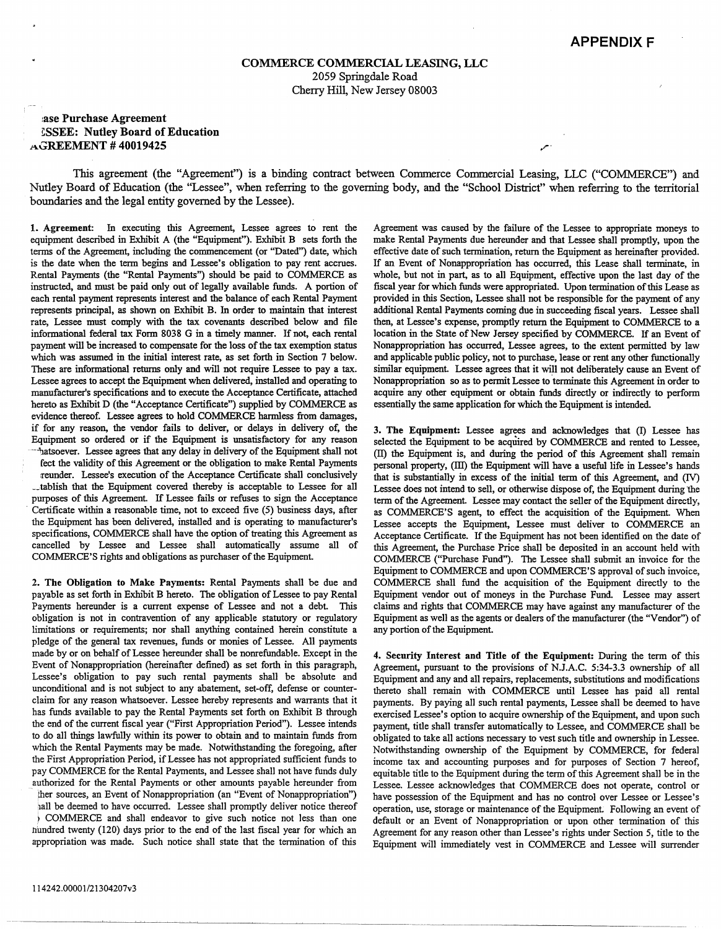## **COMMERCE COMMERCIAL LEASING, LLC**  2059 Springdale Road Cherry Hill, New Jersey 08003

## **:ase Purchase Agreement ~SSEE: Nutley Board of Education AGREEMENT# 40019425** .,.

This agreement (the "Agreement") is a binding contract between Commerce Commercial Leasing, LLC ("COMMERCE") and Nutley Board of Education (the "Lessee", when referring to the governing body, and the "School District" when referring to the territorial boundaries and the legal entity governed by the Lessee).

1. **Agreement:** In executing this Agreement, Lessee agrees to rent the equipment described in Exhibit A (the "Equipment"). Exhibit B sets forth the terms of the Agreement, including the commencement (or "Dated") date, which is the date when the term begins and Lessee's obligation to pay rent accrues. Rental Payments (the "Rental Payments") should be paid to COMMERCE as instructed, and must be paid only out of legally available funds. A portion of each rental payment represents interest and the balance of each Rental Payment represents principal, as shown on Exhibit B. In order to maintain that interest rate, Lessee must comply with the tax covenants described below and file informational federal tax Form 8038 G in a timely manner. If not, each rental payment will be increased to compensate for the loss of the tax exemption status which was assumed in the initial interest rate, as set forth in Section 7 below. These are informational returns only and will not require Lessee to pay a tax. Lessee agrees to accept the Equipment when delivered, installed and operating to manufacturer's specifications and to execute the Acceptance Certificate, attached hereto as Exhibit D (the "Acceptance Certificate") supplied by COMMERCE as evidence thereof. Lessee agrees to hold COMMERCE harmless from damages, if for any reason, the vendor fails to deliver, or delays in delivery of, the Equipment so ordered or if the Equipment is unsatisfactory for any reason ···uatsoever. Lessee agrees that any delay in delivery of the Equipment shall not feet the validity of this Agreement or the obligation to make Rental Payments :reunder. Lessee's execution of the Acceptance Certificate shall conclusively -tablish that the Equipment covered thereby is acceptable to Lessee for all purposes of this Agreement. If Lessee fails or refuses to sign the Acceptance Certificate within a reasonable time, not to exceed five (5) business days, after the Equipment has been delivered, installed and is operating to manufacturer's specifications, COMMERCE shall have the option of treating this Agreement as cancelled by Lessee and Lessee shall automatically assume all of COMMERCE'S rights and obligations as purchaser of the Equipment.

2. **The Obligation to Make Payments:** Rental Payments shall be due and payable as set forth in Exhibit B hereto. The obligation of Lessee to pay Rental Payments hereunder is a current expense of Lessee and not a debt. This obligation is not in contravention of any applicable statutory or regulatory limitations or requirements; nor shall anything contained herein constitute a pledge of the general tax revenues, funds or monies of Lessee. All payments made by or on behalf of Lessee hereunder shall be nonrefundable. Except in the Event of Nonappropriation (hereinafter defined) as set forth in this paragraph, Lessee's obligation to pay such rental payments shall be absolute and unconditional and is not subject to any abatement, set-off, defense or counterclaim for any reason whatsoever. Lessee hereby represents and warrants that it has funds available to pay the Rental Payments set forth on Exhibit B through the end of the current fiscal year ("First Appropriation Period"). Lessee intends to do all things lawfully within its power to obtain and to maintain funds from which the Rental Payments may be made. Notwithstanding the foregoing, after the First Appropriation Period, if Lessee has not appropriated sufficient funds to pay COMMERCE for the Rental Payments, and Lessee shall not have funds duly authorized for the Rental Payments or other amounts payable hereunder from ther sources, an Event of Nonappropriation (an "Event of Nonappropriation") hall be deemed to have occurred. Lessee shall promptly deliver notice thereof f COMMERCE and shall endeavor to give such notice not Jess than one nundred twenty (120) days prior to the end of the last fiscal year for which an appropriation was made. Such notice shall state that the termination of this

Agreement was caused by the failure of the Lessee to appropriate moneys to make Rental Payments due hereunder and that Lessee shall promptly, upon the effective date of such termination, return the Equipment as hereinafter provided. If an Event of Nonappropriation has occurred, this Lease shall terminate, in whole, but not in part, as to all Equipment, effective upon the last day of the fiscal year for which funds were appropriated. Upon termination of this Lease as provided in this Section, Lessee shall not be responsible for the payment of any additional Rental Payments coming due in succeeding fiscal years. Lessee shall then, at Lessee's expense, promptly return the Equipment to COMMERCE to a location in the State of New Jersey specified by COMMERCE. If an Event of Nonappropriation has occurred, Lessee agrees, to the extent permitted by law and applicable public policy, not to purchase, lease or rent any other functionally similar equipment. Lessee agrees that it will not deliberately cause an Event of Nonappropriation so as to permit Lessee to terminate this Agreement in order to acquire any other equipment or obtain funds directly or indirectly to perform essentially the same application for which the Equipment is intended.

**3. The Equipment:** Lessee agrees and acknowledges that (I) Lessee has selected the Equipment to be acquired by COMMERCE and rented to Lessee, (II) the Equipment is, and during the period of this Agreement shall remain personal property, (III) the Equipment will have a useful life in Lessee's hands that is substantially in excess of the initial term of this Agreement, and (IV) Lessee does not intend to sell, or otherwise dispose of, the Equipment during 'the term of the Agreement. Lessee may contact the seller of the Equipment directly, as COMMERCE'S agent, to effect the acquisition of the Equipment. When Lessee accepts the Equipment, Lessee must deliver to COMMERCE an Acceptance Certificate. If the Equipment has not been identified on the date of this Agreement, the Purchase Price shall be deposited in an account held with COMMERCE ("Purchase Fund"). The Lessee shall submit an invoice for the Equipment to COMMERCE and upon COMMERCE'S approval of such invoice, COMMERCE shall fund the acquisition of the Equipment directly to the Equipment vendor out of moneys in the Purchase Fund. Lessee may assert claims and rights that COMMERCE may have against any manufacturer of the Equipment as well as the agents or dealers of the manufacturer (the "Vendor") of any portion of the Equipment.

4. **Security Interest and Title of the Equipment:** During the term of this Agreement, pursuant to the provisions of N.J.A.C. 5:34-3.3 ownership of all Equipment and any and all repairs, replacements, substitutions and modifications thereto shall remain with COMMERCE until Lessee has paid all rental payments. By paying all such rental payments, Lessee shall be deemed to have exercised Lessee's option to acquire ownership of the Equipment, and upon such payment, title shall transfer automatically to Lessee, and COMMERCE shall be obligated to take all actions necessary to vest such title and ownership in Lessee. Notwithstanding ownership of the Equipment by COMMERCE, for federal income tax and accounting purposes and for purposes of Section 7 hereof, equitable title to the Equipment during the term of this Agreement shall be in the Lessee. Lessee acknowledges that COMMERCE does not operate, control or have possession of the Equipment and has no control over Lessee or Lessee's operation, use, storage or maintenance of the Equipment. Following an event of default or an Event of Nonappropriation or upon other termination of this Agreement for any reason other than Lessee's rights under Section 5, title to the Equipment will immediately vest in COMMERCE and Lessee will surrender

---------·------------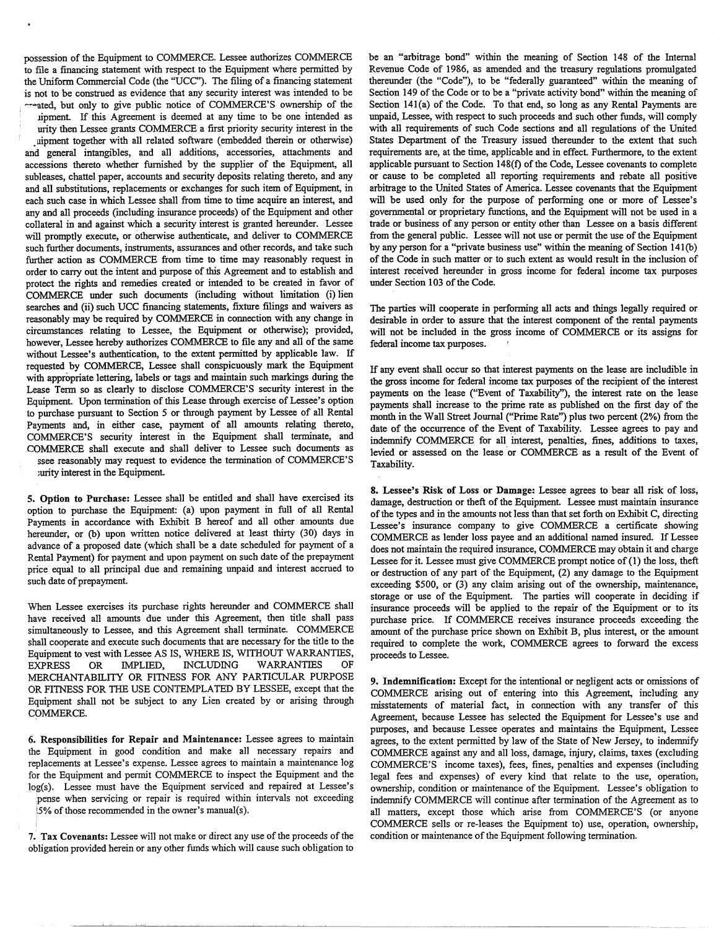possession of the Equipment to COMMERCE. Lessee authorizes COMMERCE to file a financing statement with respect to the Equipment where permitted by the Uniform Commercial Code (the "UCC"). The filing of a financing statement is not to be construed as evidence that any security interest was intended to be

<sup>1</sup>-·-ated, but only to give public notice of COMMERCE'S ownership of the ipment. If this Agreement is deemed at any time to be one intended as urity then Lessee grants COMMERCE a first priority security interest in the uipment together with all related software (embedded therein or otherwise) and general intangibles, and all additions, accessories, attachments and accessions thereto whether furnished by the supplier of the Equipment, all subleases, chattel paper, accounts and security deposits relating thereto, and any and all substitutions, replacements or exchanges for such item of Equipment, in each such case in which Lessee shall from time to time acquire an interest, and any and all proceeds (including insurance proceeds) of the Equipment and other collateral in and against which a security interest is granted hereunder. Lessee will promptly execute, or otherwise authenticate, and deliver to COMMERCE such further documents, instruments, assurances and other records, and take such further action as COMMERCE from time to time may reasonably request in order to carry out the intent and purpose of this Agreement and to establish and protect the rights and remedies created or intended to be created in favor of COMMERCE under such documents (including without limitation (i) lien searches and (ii) such UCC financing statements, fixture filings and waivers as reasonably may be required by COMMERCE in connection with any change in circumstances relating to Lessee, the Equipment or otherwise); provided. however, Lessee hereby authorizes COMMERCE to file any and all of the same without Lessee's authentication, to the extent permitted by applicable law. If requested by COMMERCE, Lessee shall conspicuously mark the Equipment with appropriate lettering, labels or tags and maintain such markings during the Lease Term so as clearly to disclose COMMERCE'S security interest in the Equipment. Upon termination of this Lease through exercise of Lessee's option to purchase pursuant to Section *5* or through payment by Lessee of all Rental Payments and, in either case, payment of all amounts relating thereto, COMMERCE'S security interest in the Equipment shall terminate, and COMMERCE shall execute and shall deliver to Lessee such documents as ssee reasonably may request to evidence the termination of COMMERCE'S

:urity interest in the Equipment.

I

5. **Option to Purchase:** Lessee shall be entitled and shall have exercised its option to purchase the Equipment: (a) upon payment in full of all Rental Payments in accordance with Exhibit B hereof and all other amounts due hereunder, or (b) upon written notice delivered at least thirty (30) days in advance of a proposed date (which shall be a date scheduled for payment of a Rental Payment) for payment and upon payment on such date of the prepayment price equal to all principal due and remaining unpaid and interest accrued to such date of prepayment.

When Lessee exercises its purchase rights hereunder and COMMERCE shall have received all amounts due under this Agreement, then title shall pass simultaneously to Lessee, and this Agreement shall terminate. COMMERCE shall cooperate and execute such documents that are necessary for the title to the Equipment to vest with Lessee AS IS, WHERE IS, WITHOUT WARRANTIES, EXPRESS OR IMPLIED, INCLUDING WARRANTIES OF MERCHANTABILITY OR FITNESS FOR ANY PARTICULAR PURPOSE OR FITNESS FOR THE USE CONTEMPLATED BY LESSEE, except that the Equipment shall not be subject to any Lien created by or arising through COMMERCE.

**6. Responsibilities for Repair and Maintenance:** Lessee agrees to maintain the Equipment in good condition and make all necessary repairs and replacements at Lessee's expense. Lessee agrees to maintain a maintenance log for the Equipment and permit COMMERCE to inspect the Equipment and the log(s). Lessee must have the Equipment serviced and repaired at Lessee's pense when servicing or repair is required within intervals not exceeding l5% of those recommended in the owner's manual(s). <sup>I</sup>

7.' **Tax Covenants:** Lessee will not make or direct any use of the proceeds of the obligation provided herein or any other funds which will cause such obligation to be an "arbitrage bond" within the meaning of Section 148 of the Internal Revenue Code of 1986, as amended and the treasury regulations promulgated thereunder (the "Code"), to be "federally guaranteed" within the meaning of Section 149 of the Code or to be a "private activity bond" within the meaning of Section 141(a) of the Code. To that end, so long as any Rental Payments are unpaid, Lessee, with respect to such proceeds and such other funds, will comply with all requirements of such Code sections and all regulations of the United States Department of the Treasury issued thereunder to the extent that such requirements are, at the time, applicable and in effect. Furthermore, to the extent applicable pursuant to Section 148(f) of the Code, Lessee covenants to complete or cause to be completed all reporting requirements and rebate all positive arbitrage to the United States of America. Lessee covenants that the Equipment will be used only for the purpose of performing one or more of Lessee's governmental or proprietary functions, and the Equipment will not be used in a trade or business of any person or entity other than Lessee on a basis different from the general public. Lessee will not use or permit the use of the Equipment by any person for a "private business use" within the meaning of Section 14I(b) of the Code in such matter or to such extent as would result in the inclusion of interest received hereunder in gross income for federal income tax purposes under Section 103 of the Code.

The parties will cooperate in performing all acts and things legally required or desirable in order to assure that the interest component of the rental payments will not be included in the gross income of COMMERCE or its assigns for federal income tax purposes.

Jf any event shall occur so that interest payments on the lease are includible in the gross income for federal income tax purposes of the recipient of the interest payments on the lease ("Event of Taxability''), the interest rate on the lease payments shall increase to the prime rate as published on the first day of the month in the Wall Street Journal ("Prime Rate") plus two percent (2%) from the date of the occurrence of the Event of Taxability. Lessee agrees to pay and indemnify COMMERCE for all interest, penalties, fines, additions to taxes, levied or assessed on the lease or COMMERCE as a result of the Event of Taxability.

**8. Lessee's Risk of Loss or Damage:** Lessee agrees to bear all risk of loss, damage, destruction or theft of the Equipment. Lessee must maintain insurance of the types and in the amounts not less than that set forth on Exhibit C, directing Lessee's insurance company to give COMMERCE a certificate showing COMMERCE as lender loss payee and an additional named insured. Jf Lessee does not maintain the required insurance, COMMERCE may obtain it and charge Lessee for it. Lessee must give COMMERCE prompt notice of (1) the loss, theft or destruction of any part of the Equipment, (2) any damage to the Equipment exceeding \$500, or (3) any claim arising out of the ownership, maintenance, storage or use of the Equipment. The parties will cooperate in deciding if insurance proceeds will be applied to the repair of the Equipment or to its purchase price. If COMMERCE receives insurance proceeds exceeding the amount of the purchase price shown on Exhibit B, plus interest, or the amount required to complete the work, COMMERCE agrees to forward the excess proceeds to Lessee.

**9. Indemnification:** Except for the intentional or negligent acts or omissions of COMMERCE arising out of entering into this Agreement, including any misstatements of material fact, in connection with any transfer of this Agreement, because Lessee has selected the Equipment for Lessee's use and purposes, and because Lessee operates and maintains the Equipment, Lessee agrees, to the extent permitted by law of the State of New Jersey, to indemnify COMMERCE against any and all loss, damage, injury, claims, taxes (excluding COMMERCE'S income taxes), fees, fines, penalties and expenses (including legal fees and expenses) of every kind that relate to the use, operation, ownership, condition or maintenance of the Equipment. Lessee's obligation to indemnify COMMERCE will continue after termination of the Agreement as to all matters, except those which arise from COMMERCE'S (or anyone COMMERCE sells or re-leases the Equipment to) use, operation, ownership, condition or maintenance of the Equipment following termination.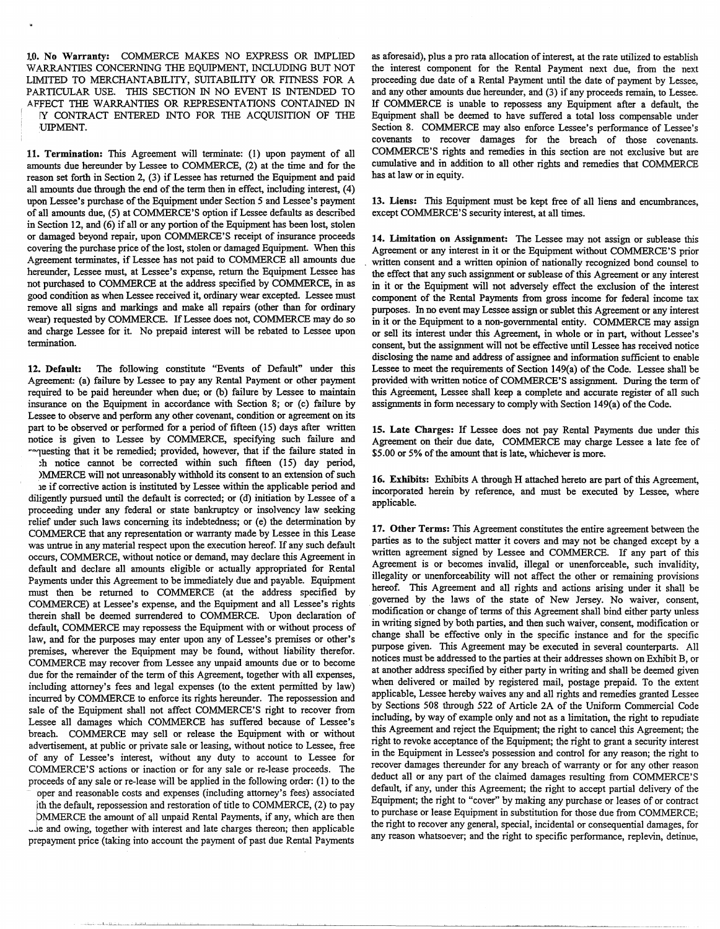J.O. No Warranty: COMMERCE MAKES NO EXPRESS OR IMPLIED WARRANTIES CONCERNING THE EQUIPMENT, INCLUDING BUT NOT LIMITED TO MERCHANTABILITY, SUITABILITY OR FITNESS FOR A PARTICULAR USE. THIS SECTION IN NO EVENT IS INTENDED TO AFFECT THE WARRANTIES OR REPRESENTATIONS CONTAINED IN IY CONTRACT ENTERED INTO FOR THE ACQUISITION OF THE UIPMENT.

**11. Termination:** This Agreement will tenninate: (1) upon payment of all amounts due hereunder by Lessee to COMMERCE, (2) at the time and for lhe reason set forth in Section 2, (3) if Lessee has returned the Equipment and paid all amounts due through the end of the term then in effect, including interest,  $(4)$ upon Lessee's purchase of the Equipment under Section 5 and Lessee's payment of all amounts due, (5) at COMMERCE'S option if Lessee defaults as described in Section 12, and (6) if all or any portion of the Equipment has been lost, stolen or damaged beyond repair, upon COMMERCE'S receipt of insurance proceeds covering the purchase price of the lost, stolen or damaged Equipment. When this Agreement terminates, if Lessee has not paid to COMMERCE all amounts due hereunder, Lessee must, at Lessee's expense, return the Equipment Lessee has not purchased to COMMERCE at the address specified by COMMERCE, in as good condition as when Lessee received it, ordinary wear excepted. Lessee must remove all signs and markings and make all repairs (other than for ordinary wear) requested by COMMERCE. If Lessee does not, COMMERCE may do so and charge Lessee for it. No prepaid interest will be rebated to Lessee upon termination.

12. Default: The following constitute "Events of Default" under this Agreement: (a) failure by Lessee to pay any Rental Payment or other payment required to be paid hereunder when due; or (b) failure by Lessee to maintain insurance on the Equipment in accordance wilh Section 8; or (c) failure by Lessee to observe and perform any other covenant, condition or agreement on its part to be observed or performed for a period of fifteen (15) days after written notice is given to Lessee by COMMERCE, specifying such failure and --1uesting that it be remedied; provided, however, that if the failure stated in ;h notice cannot be corrected within such fifteen (15) day period,

)MMERCE will not unreasonably withhold its consent to an extension of such 1e if corrective action is instituted by Lessee within lhe applicable period and diligently pursued until the default is corrected; or (d) initiation by Lessee of a proceeding under any federal or state bankruptcy or insolvency law seeking relief under such laws concerning its indebtedness; or (e) the determination by COMMERCE that any representation or warranty made by Lessee in this Lease was untrue in any material respect upon the execution hereof. If any such default occurs, COMMERCE, without notice or demand, may declare this Agreement in default and declare all amounts eligible or actually appropriated for Rental Payments under this Agreement to be immediately due and payable. Equipment must then be returned to COMMERCE (at the address specified by COMMERCE) at Lessee's expense, and the Equipment and all Lessee's rights therein shall be deemed surrendered to COMMERCE. Upon declaration of default, COMMERCE may repossess lhe Equipment with or without process of law, and for the purposes may enter upon any of Lessee's premises or other's premises, wherever the Equipment may be found, without liability therefor. COMMERCE may recover from Lessee any unpaid amounts due or to become due for the remainder of the term of this Agreement, together with all expenses, including attorney's fees and legal expenses (to the extent permitted by law) incurred by COMMERCE to enforce its rights hereunder. The repossession and sale of the Equipment shall not affect COMMERCE'S right to recover from Lessee all damages which COMMERCE has suffered because of Lessee's breach. COMMERCE may sell or release the Equipment with or without advertisement, at public or private sale or leasing, without notice to Lessee, free of any of Lessee's interest, without any duty to account to Lessee for COMMERCE'S actions or inaction or for any sale or re-lease proceeds. The proceeds of any sale or re-lease will be applied in the following order: (1) to the

operand reasonable costs and expenses (including attorney's fees) associated fth the default, repossession and restoration of title to COMMERCE, (2) to pay

pMMERCE the amount of all unpaid Rental Payments, if any, which are then -.le and owing, together with interest and late charges thereon; then applicable prepayment price (taking into account the payment of past due Rental Payments as aforesaid), plus a pro rata allocation of interest, at the rate utilized to establish the interest component for the Rental Payment next due, from the next proceeding due date of **a** Rental Payment until the date of payment by Lessee, and any other amounts due hereunder, and (3) if any proceeds remain, to Lessee. If COMMERCE is unable to repossess any Equipment after a default, the Equipment shall be deemed to have suffered a total loss compensable under Section 8. COMMERCE may also enforce Lessee's performance of Lessee's covenants to recover damages for the breach of those covenants. COMMERCE'S rights and remedies in this section are not exclusive but are cumulative and in addition to all other rights and remedies that COMMERCE has at law or in equity.

**13. Liens:** This Equipment must be kept free of all liens and encumbrances, except COMMERCE'S security interest, at all times.

**14. Limitation on Assignment:** The Lessee may not assign or sublease this Agreement or any interest in it or the Equipment without COMMERCE'S prior written consent and a written opinion of nationally recognized bond counsel to the effect that any such assignment or sublease of this Agreement or any interest in it or the Equipment will not adversely effect the exclusion of the interest component of the Rental Payments from gross income for federal income tax purposes. In no event may Lessee assign or sublet this Agreement or any interest in it or the Equipment to a non-governmental entity. COMMERCE may assign or sell its interest under this Agreement, in whole or in part, without Lessee's consent, but the assignment will not be effective until Lessee has received notice disclosing the name and address of assignee and information sufficient to enable Lessee to meet the requirements of Section 149(a) of the Code. Lessee shall be provided with written notice of COMMERCE'S assignment. During the term of this Agreement, Lessee shall keep a complete and accurate register of all such assignments in form necessary to comply with Section  $149(a)$  of the Code.

**15. Late Charges:** If Lessee does not pay Rental Payments due under this Agreement on their due date, COMMERCE may charge Lessee a late fee of \$5.00 or 5% of the amount that is late, whichever is more.

**16. Exhibits:** Exhibits A through **H** attached hereto are part of this Agreement, incorporated herein by reference, and must be executed by Lessee, where applicable.

17. Other Terms: This Agreement constitutes the entire agreement between the parties as to the subject matter it covers and may not be changed except by a written agreement signed by Lessee and COMMERCE. If any part of this Agreement is or becomes invalid, illegal or unenforceable, such invalidity, illegality or unenforceability will not affect the other or remaining provisions hereof. This Agreement and all rights and actions arising under it shall be governed by the laws of the state of New Jersey. No waiver, consent, modification or change of terms of this Agreement shall bind either party unless in writing signed by both parties, and then such waiver, consent, modification or change shall be effective only in the specific instance and for the specific purpose given. This Agreement may be executed in several counterparts. All notices must be addressed to the parties at their addresses shown on Exhibit B, or at another address specified by either party in writing and shall be deemed given when delivered or mailed by registered mail, postage prepaid. To the extent applicable, Lessee hereby waives any and all rights and remedies granted Lessee by Sections 508 lhrough 522 of Article 2A of the Uniform Commercial Code including, by way of example only and not as a limitation, the right to repudiate this Agreement and reject the Equipment; the right to cancel this Agreement; the right to revoke acceptance of the Equipment; the right to grant a security interest in the Equipment in Lessee's possession and control for any reason; the right to recover damages thereunder for any breach of warranty or for any other reason deduct all or any part of the claimed damages resulting from COMMERCE'S default, if any, under this Agreement; the right to accept partial delivery of the Equipment; the right to "cover" by making any purchase or leases of or contract to purchase or lease Equipment in substitution for those due from COMMERCE; the right to recover any general, special, incidental or consequential damages, for any reason whatsoever; and the right to specific performance, replevin, detinue,